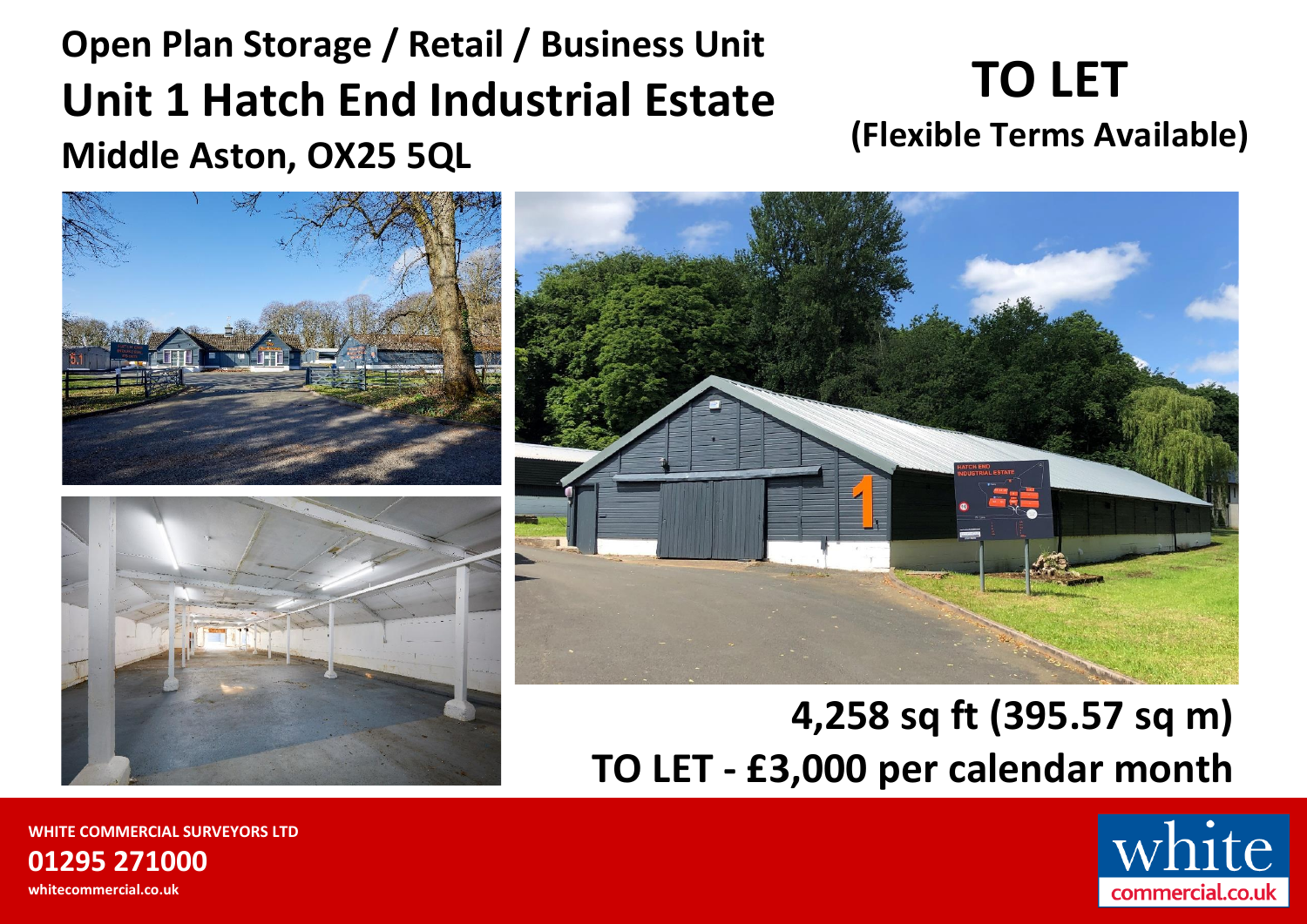# **Open Plan Storage / Retail / Business Unit Unit 1 Hatch End Industrial Estate Middle Aston, OX25 5QL**

# **TO LET (Flexible Terms Available)**







# **4,258 sq ft (395.57 sq m) TO LET - £3,000 per calendar month**



**WHITE COMMERCIAL SURVEYORS LTD 01295 271000 whitecommercial.co.uk**